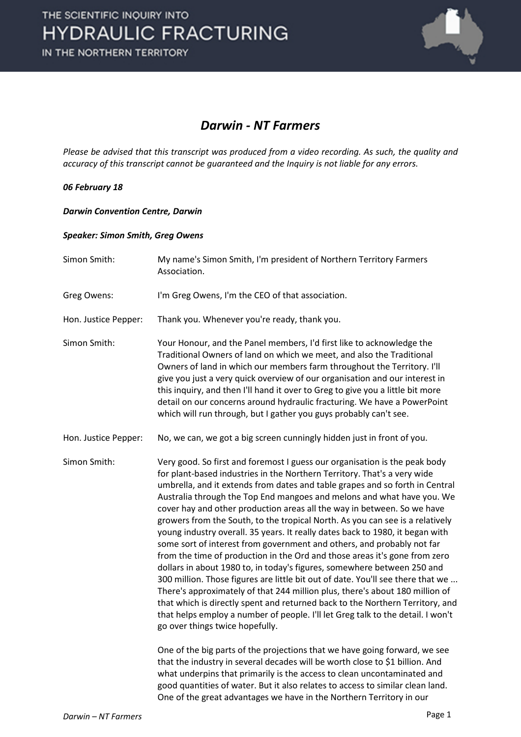

### *Darwin - NT Farmers*

*Please be advised that this transcript was produced from a video recording. As such, the quality and accuracy of this transcript cannot be guaranteed and the Inquiry is not liable for any errors.*

#### *06 February 18*

#### *Darwin Convention Centre, Darwin*

#### *Speaker: Simon Smith, Greg Owens*

| Simon Smith:         | My name's Simon Smith, I'm president of Northern Territory Farmers<br>Association.                                                                                                                                                                                                                                                                                                                                                                                                                                                                                                                                                                                                                                                                                                                                                                                                                                                                                                                                                                                                                                                                                         |
|----------------------|----------------------------------------------------------------------------------------------------------------------------------------------------------------------------------------------------------------------------------------------------------------------------------------------------------------------------------------------------------------------------------------------------------------------------------------------------------------------------------------------------------------------------------------------------------------------------------------------------------------------------------------------------------------------------------------------------------------------------------------------------------------------------------------------------------------------------------------------------------------------------------------------------------------------------------------------------------------------------------------------------------------------------------------------------------------------------------------------------------------------------------------------------------------------------|
| Greg Owens:          | I'm Greg Owens, I'm the CEO of that association.                                                                                                                                                                                                                                                                                                                                                                                                                                                                                                                                                                                                                                                                                                                                                                                                                                                                                                                                                                                                                                                                                                                           |
| Hon. Justice Pepper: | Thank you. Whenever you're ready, thank you.                                                                                                                                                                                                                                                                                                                                                                                                                                                                                                                                                                                                                                                                                                                                                                                                                                                                                                                                                                                                                                                                                                                               |
| Simon Smith:         | Your Honour, and the Panel members, I'd first like to acknowledge the<br>Traditional Owners of land on which we meet, and also the Traditional<br>Owners of land in which our members farm throughout the Territory. I'll<br>give you just a very quick overview of our organisation and our interest in<br>this inquiry, and then I'll hand it over to Greg to give you a little bit more<br>detail on our concerns around hydraulic fracturing. We have a PowerPoint<br>which will run through, but I gather you guys probably can't see.                                                                                                                                                                                                                                                                                                                                                                                                                                                                                                                                                                                                                                |
| Hon. Justice Pepper: | No, we can, we got a big screen cunningly hidden just in front of you.                                                                                                                                                                                                                                                                                                                                                                                                                                                                                                                                                                                                                                                                                                                                                                                                                                                                                                                                                                                                                                                                                                     |
| Simon Smith:         | Very good. So first and foremost I guess our organisation is the peak body<br>for plant-based industries in the Northern Territory. That's a very wide<br>umbrella, and it extends from dates and table grapes and so forth in Central<br>Australia through the Top End mangoes and melons and what have you. We<br>cover hay and other production areas all the way in between. So we have<br>growers from the South, to the tropical North. As you can see is a relatively<br>young industry overall. 35 years. It really dates back to 1980, it began with<br>some sort of interest from government and others, and probably not far<br>from the time of production in the Ord and those areas it's gone from zero<br>dollars in about 1980 to, in today's figures, somewhere between 250 and<br>300 million. Those figures are little bit out of date. You'll see there that we<br>There's approximately of that 244 million plus, there's about 180 million of<br>that which is directly spent and returned back to the Northern Territory, and<br>that helps employ a number of people. I'll let Greg talk to the detail. I won't<br>go over things twice hopefully. |
|                      | One of the big parts of the projections that we have going forward, we see<br>that the industry in several decades will be worth close to \$1 billion. And<br>what underpins that primarily is the access to clean uncontaminated and<br>good quantities of water. But it also relates to access to similar clean land.<br>One of the great advantages we have in the Northern Territory in our                                                                                                                                                                                                                                                                                                                                                                                                                                                                                                                                                                                                                                                                                                                                                                            |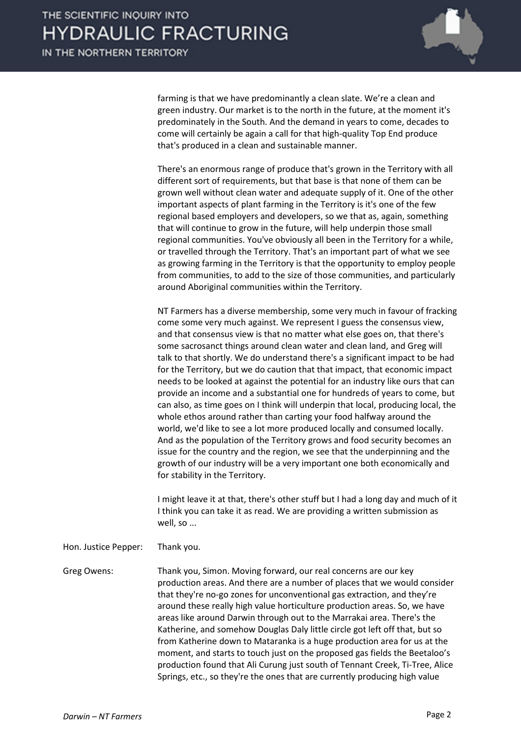

farming is that we have predominantly a clean slate. We're a clean and green industry. Our market is to the north in the future, at the moment it's predominately in the South. And the demand in years to come, decades to come will certainly be again a call for that high-quality Top End produce that's produced in a clean and sustainable manner.

There's an enormous range of produce that's grown in the Territory with all different sort of requirements, but that base is that none of them can be grown well without clean water and adequate supply of it. One of the other important aspects of plant farming in the Territory is it's one of the few regional based employers and developers, so we that as, again, something that will continue to grow in the future, will help underpin those small regional communities. You've obviously all been in the Territory for a while, or travelled through the Territory. That's an important part of what we see as growing farming in the Territory is that the opportunity to employ people from communities, to add to the size of those communities, and particularly around Aboriginal communities within the Territory.

NT Farmers has a diverse membership, some very much in favour of fracking come some very much against. We represent I guess the consensus view, and that consensus view is that no matter what else goes on, that there's some sacrosanct things around clean water and clean land, and Greg will talk to that shortly. We do understand there's a significant impact to be had for the Territory, but we do caution that that impact, that economic impact needs to be looked at against the potential for an industry like ours that can provide an income and a substantial one for hundreds of years to come, but can also, as time goes on I think will underpin that local, producing local, the whole ethos around rather than carting your food halfway around the world, we'd like to see a lot more produced locally and consumed locally. And as the population of the Territory grows and food security becomes an issue for the country and the region, we see that the underpinning and the growth of our industry will be a very important one both economically and for stability in the Territory.

I might leave it at that, there's other stuff but I had a long day and much of it I think you can take it as read. We are providing a written submission as well, so ...

Hon. Justice Pepper: Thank you.

Greg Owens: Thank you, Simon. Moving forward, our real concerns are our key production areas. And there are a number of places that we would consider that they're no-go zones for unconventional gas extraction, and they're around these really high value horticulture production areas. So, we have areas like around Darwin through out to the Marrakai area. There's the Katherine, and somehow Douglas Daly little circle got left off that, but so from Katherine down to Mataranka is a huge production area for us at the moment, and starts to touch just on the proposed gas fields the Beetaloo's production found that Ali Curung just south of Tennant Creek, Ti-Tree, Alice Springs, etc., so they're the ones that are currently producing high value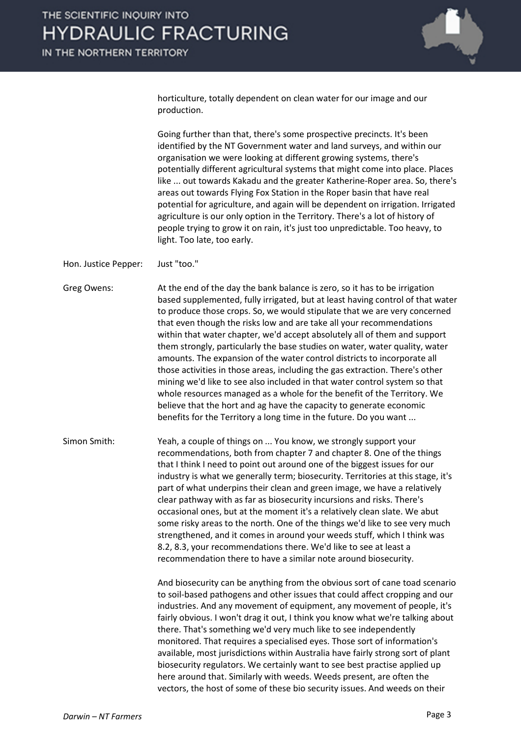

horticulture, totally dependent on clean water for our image and our production.

Going further than that, there's some prospective precincts. It's been identified by the NT Government water and land surveys, and within our organisation we were looking at different growing systems, there's potentially different agricultural systems that might come into place. Places like ... out towards Kakadu and the greater Katherine-Roper area. So, there's areas out towards Flying Fox Station in the Roper basin that have real potential for agriculture, and again will be dependent on irrigation. Irrigated agriculture is our only option in the Territory. There's a lot of history of people trying to grow it on rain, it's just too unpredictable. Too heavy, to light. Too late, too early.

Hon. Justice Pepper: Just "too."

Greg Owens: At the end of the day the bank balance is zero, so it has to be irrigation based supplemented, fully irrigated, but at least having control of that water to produce those crops. So, we would stipulate that we are very concerned that even though the risks low and are take all your recommendations within that water chapter, we'd accept absolutely all of them and support them strongly, particularly the base studies on water, water quality, water amounts. The expansion of the water control districts to incorporate all those activities in those areas, including the gas extraction. There's other mining we'd like to see also included in that water control system so that whole resources managed as a whole for the benefit of the Territory. We believe that the hort and ag have the capacity to generate economic benefits for the Territory a long time in the future. Do you want ...

Simon Smith: Yeah, a couple of things on ... You know, we strongly support your recommendations, both from chapter 7 and chapter 8. One of the things that I think I need to point out around one of the biggest issues for our industry is what we generally term; biosecurity. Territories at this stage, it's part of what underpins their clean and green image, we have a relatively clear pathway with as far as biosecurity incursions and risks. There's occasional ones, but at the moment it's a relatively clean slate. We abut some risky areas to the north. One of the things we'd like to see very much strengthened, and it comes in around your weeds stuff, which I think was 8.2, 8.3, your recommendations there. We'd like to see at least a recommendation there to have a similar note around biosecurity.

> And biosecurity can be anything from the obvious sort of cane toad scenario to soil-based pathogens and other issues that could affect cropping and our industries. And any movement of equipment, any movement of people, it's fairly obvious. I won't drag it out, I think you know what we're talking about there. That's something we'd very much like to see independently monitored. That requires a specialised eyes. Those sort of information's available, most jurisdictions within Australia have fairly strong sort of plant biosecurity regulators. We certainly want to see best practise applied up here around that. Similarly with weeds. Weeds present, are often the vectors, the host of some of these bio security issues. And weeds on their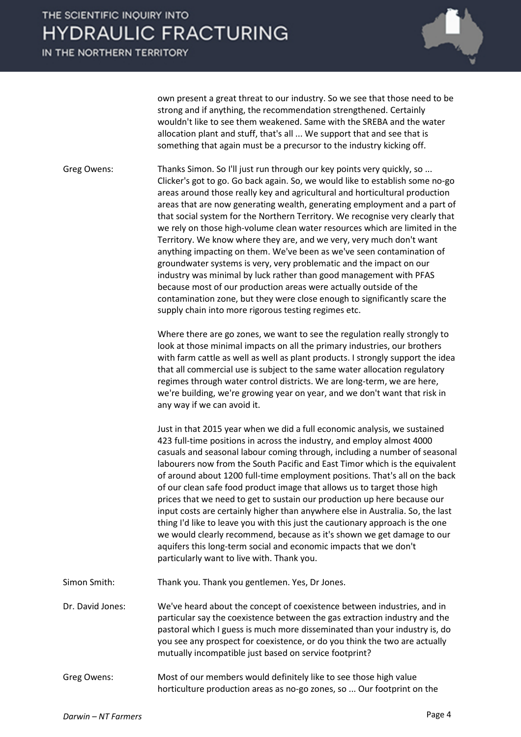IN THE NORTHERN TERRITORY



own present a great threat to our industry. So we see that those need to be strong and if anything, the recommendation strengthened. Certainly wouldn't like to see them weakened. Same with the SREBA and the water allocation plant and stuff, that's all ... We support that and see that is something that again must be a precursor to the industry kicking off.

Greg Owens: Thanks Simon. So I'll just run through our key points very quickly, so ... Clicker's got to go. Go back again. So, we would like to establish some no-go areas around those really key and agricultural and horticultural production areas that are now generating wealth, generating employment and a part of that social system for the Northern Territory. We recognise very clearly that we rely on those high-volume clean water resources which are limited in the Territory. We know where they are, and we very, very much don't want anything impacting on them. We've been as we've seen contamination of groundwater systems is very, very problematic and the impact on our industry was minimal by luck rather than good management with PFAS because most of our production areas were actually outside of the contamination zone, but they were close enough to significantly scare the supply chain into more rigorous testing regimes etc.

> Where there are go zones, we want to see the regulation really strongly to look at those minimal impacts on all the primary industries, our brothers with farm cattle as well as well as plant products. I strongly support the idea that all commercial use is subject to the same water allocation regulatory regimes through water control districts. We are long-term, we are here, we're building, we're growing year on year, and we don't want that risk in any way if we can avoid it.

Just in that 2015 year when we did a full economic analysis, we sustained 423 full-time positions in across the industry, and employ almost 4000 casuals and seasonal labour coming through, including a number of seasonal labourers now from the South Pacific and East Timor which is the equivalent of around about 1200 full-time employment positions. That's all on the back of our clean safe food product image that allows us to target those high prices that we need to get to sustain our production up here because our input costs are certainly higher than anywhere else in Australia. So, the last thing I'd like to leave you with this just the cautionary approach is the one we would clearly recommend, because as it's shown we get damage to our aquifers this long-term social and economic impacts that we don't particularly want to live with. Thank you.

- Simon Smith: Thank you. Thank you gentlemen. Yes, Dr Jones.
- Dr. David Jones: We've heard about the concept of coexistence between industries, and in particular say the coexistence between the gas extraction industry and the pastoral which I guess is much more disseminated than your industry is, do you see any prospect for coexistence, or do you think the two are actually mutually incompatible just based on service footprint?
- Greg Owens: Most of our members would definitely like to see those high value horticulture production areas as no-go zones, so ... Our footprint on the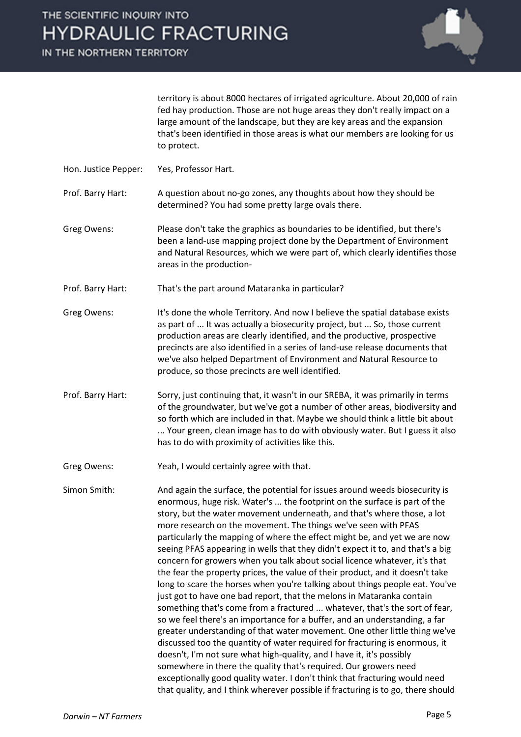IN THE NORTHERN TERRITORY



territory is about 8000 hectares of irrigated agriculture. About 20,000 of rain fed hay production. Those are not huge areas they don't really impact on a large amount of the landscape, but they are key areas and the expansion that's been identified in those areas is what our members are looking for us to protect.

- Hon. Justice Pepper: Yes, Professor Hart.
- Prof. Barry Hart: A question about no-go zones, any thoughts about how they should be determined? You had some pretty large ovals there.
- Greg Owens: Please don't take the graphics as boundaries to be identified, but there's been a land-use mapping project done by the Department of Environment and Natural Resources, which we were part of, which clearly identifies those areas in the production-
- Prof. Barry Hart: That's the part around Mataranka in particular?
- Greg Owens: It's done the whole Territory. And now I believe the spatial database exists as part of ... It was actually a biosecurity project, but ... So, those current production areas are clearly identified, and the productive, prospective precincts are also identified in a series of land-use release documents that we've also helped Department of Environment and Natural Resource to produce, so those precincts are well identified.
- Prof. Barry Hart: Sorry, just continuing that, it wasn't in our SREBA, it was primarily in terms of the groundwater, but we've got a number of other areas, biodiversity and so forth which are included in that. Maybe we should think a little bit about ... Your green, clean image has to do with obviously water. But I guess it also has to do with proximity of activities like this.
- Greg Owens: Yeah, I would certainly agree with that.

Simon Smith: And again the surface, the potential for issues around weeds biosecurity is enormous, huge risk. Water's ... the footprint on the surface is part of the story, but the water movement underneath, and that's where those, a lot more research on the movement. The things we've seen with PFAS particularly the mapping of where the effect might be, and yet we are now seeing PFAS appearing in wells that they didn't expect it to, and that's a big concern for growers when you talk about social licence whatever, it's that the fear the property prices, the value of their product, and it doesn't take long to scare the horses when you're talking about things people eat. You've just got to have one bad report, that the melons in Mataranka contain something that's come from a fractured ... whatever, that's the sort of fear, so we feel there's an importance for a buffer, and an understanding, a far greater understanding of that water movement. One other little thing we've discussed too the quantity of water required for fracturing is enormous, it doesn't, I'm not sure what high-quality, and I have it, it's possibly somewhere in there the quality that's required. Our growers need exceptionally good quality water. I don't think that fracturing would need that quality, and I think wherever possible if fracturing is to go, there should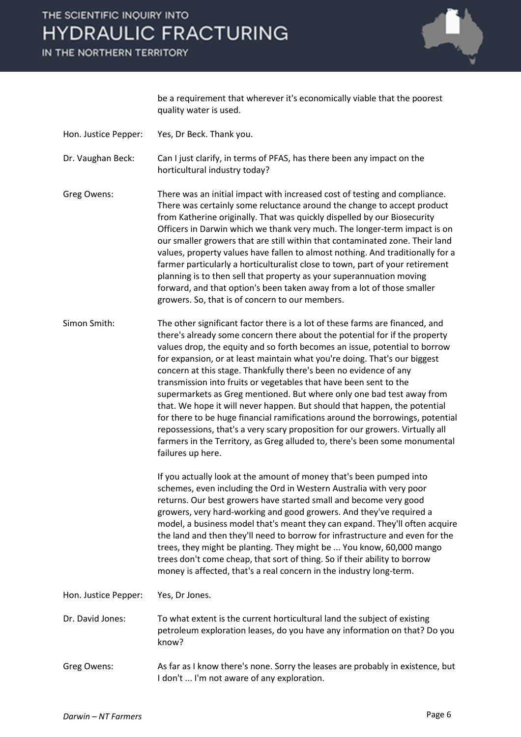## THE SCIENTIFIC INQUIRY INTO **HYDRAULIC FRACTURING**

IN THE NORTHERN TERRITORY



be a requirement that wherever it's economically viable that the poorest quality water is used.

- Hon. Justice Pepper: Yes, Dr Beck. Thank you.
- Dr. Vaughan Beck: Can I just clarify, in terms of PFAS, has there been any impact on the horticultural industry today?
- Greg Owens: There was an initial impact with increased cost of testing and compliance. There was certainly some reluctance around the change to accept product from Katherine originally. That was quickly dispelled by our Biosecurity Officers in Darwin which we thank very much. The longer-term impact is on our smaller growers that are still within that contaminated zone. Their land values, property values have fallen to almost nothing. And traditionally for a farmer particularly a horticulturalist close to town, part of your retirement planning is to then sell that property as your superannuation moving forward, and that option's been taken away from a lot of those smaller growers. So, that is of concern to our members.
- Simon Smith: The other significant factor there is a lot of these farms are financed, and there's already some concern there about the potential for if the property values drop, the equity and so forth becomes an issue, potential to borrow for expansion, or at least maintain what you're doing. That's our biggest concern at this stage. Thankfully there's been no evidence of any transmission into fruits or vegetables that have been sent to the supermarkets as Greg mentioned. But where only one bad test away from that. We hope it will never happen. But should that happen, the potential for there to be huge financial ramifications around the borrowings, potential repossessions, that's a very scary proposition for our growers. Virtually all farmers in the Territory, as Greg alluded to, there's been some monumental failures up here.

If you actually look at the amount of money that's been pumped into schemes, even including the Ord in Western Australia with very poor returns. Our best growers have started small and become very good growers, very hard-working and good growers. And they've required a model, a business model that's meant they can expand. They'll often acquire the land and then they'll need to borrow for infrastructure and even for the trees, they might be planting. They might be ... You know, 60,000 mango trees don't come cheap, that sort of thing. So if their ability to borrow money is affected, that's a real concern in the industry long-term.

Hon. Justice Pepper: Yes, Dr Jones.

- Dr. David Jones: To what extent is the current horticultural land the subject of existing petroleum exploration leases, do you have any information on that? Do you know?
- Greg Owens: As far as I know there's none. Sorry the leases are probably in existence, but I don't ... I'm not aware of any exploration.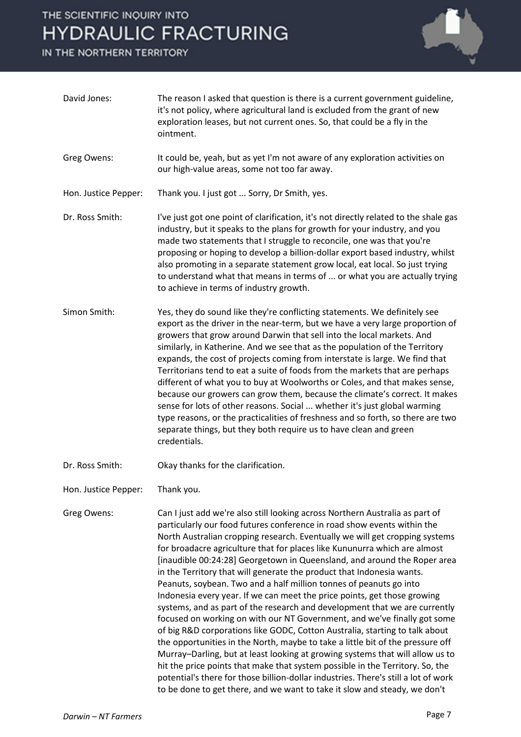### THE SCIENTIFIC INQUIRY INTO **HYDRAULIC FRACTURING**

IN THE NORTHERN TERRITORY



| David Jones:         | The reason I asked that question is there is a current government guideline,<br>it's not policy, where agricultural land is excluded from the grant of new<br>exploration leases, but not current ones. So, that could be a fly in the<br>ointment.                                                                                                                                                                                                                                                                                                                                                                                                                                                                                                                                                                                                                                                                                                                                                                                                                                                                                                                                                                                                                                        |
|----------------------|--------------------------------------------------------------------------------------------------------------------------------------------------------------------------------------------------------------------------------------------------------------------------------------------------------------------------------------------------------------------------------------------------------------------------------------------------------------------------------------------------------------------------------------------------------------------------------------------------------------------------------------------------------------------------------------------------------------------------------------------------------------------------------------------------------------------------------------------------------------------------------------------------------------------------------------------------------------------------------------------------------------------------------------------------------------------------------------------------------------------------------------------------------------------------------------------------------------------------------------------------------------------------------------------|
| Greg Owens:          | It could be, yeah, but as yet I'm not aware of any exploration activities on<br>our high-value areas, some not too far away.                                                                                                                                                                                                                                                                                                                                                                                                                                                                                                                                                                                                                                                                                                                                                                                                                                                                                                                                                                                                                                                                                                                                                               |
| Hon. Justice Pepper: | Thank you. I just got  Sorry, Dr Smith, yes.                                                                                                                                                                                                                                                                                                                                                                                                                                                                                                                                                                                                                                                                                                                                                                                                                                                                                                                                                                                                                                                                                                                                                                                                                                               |
| Dr. Ross Smith:      | I've just got one point of clarification, it's not directly related to the shale gas<br>industry, but it speaks to the plans for growth for your industry, and you<br>made two statements that I struggle to reconcile, one was that you're<br>proposing or hoping to develop a billion-dollar export based industry, whilst<br>also promoting in a separate statement grow local, eat local. So just trying<br>to understand what that means in terms of  or what you are actually trying<br>to achieve in terms of industry growth.                                                                                                                                                                                                                                                                                                                                                                                                                                                                                                                                                                                                                                                                                                                                                      |
| Simon Smith:         | Yes, they do sound like they're conflicting statements. We definitely see<br>export as the driver in the near-term, but we have a very large proportion of<br>growers that grow around Darwin that sell into the local markets. And<br>similarly, in Katherine. And we see that as the population of the Territory<br>expands, the cost of projects coming from interstate is large. We find that<br>Territorians tend to eat a suite of foods from the markets that are perhaps<br>different of what you to buy at Woolworths or Coles, and that makes sense,<br>because our growers can grow them, because the climate's correct. It makes<br>sense for lots of other reasons. Social  whether it's just global warming<br>type reasons, or the practicalities of freshness and so forth, so there are two<br>separate things, but they both require us to have clean and green<br>credentials.                                                                                                                                                                                                                                                                                                                                                                                          |
| Dr. Ross Smith:      | Okay thanks for the clarification.                                                                                                                                                                                                                                                                                                                                                                                                                                                                                                                                                                                                                                                                                                                                                                                                                                                                                                                                                                                                                                                                                                                                                                                                                                                         |
| Hon. Justice Pepper: | Thank you.                                                                                                                                                                                                                                                                                                                                                                                                                                                                                                                                                                                                                                                                                                                                                                                                                                                                                                                                                                                                                                                                                                                                                                                                                                                                                 |
| Greg Owens:          | Can I just add we're also still looking across Northern Australia as part of<br>particularly our food futures conference in road show events within the<br>North Australian cropping research. Eventually we will get cropping systems<br>for broadacre agriculture that for places like Kununurra which are almost<br>[inaudible 00:24:28] Georgetown in Queensland, and around the Roper area<br>in the Territory that will generate the product that Indonesia wants.<br>Peanuts, soybean. Two and a half million tonnes of peanuts go into<br>Indonesia every year. If we can meet the price points, get those growing<br>systems, and as part of the research and development that we are currently<br>focused on working on with our NT Government, and we've finally got some<br>of big R&D corporations like GODC, Cotton Australia, starting to talk about<br>the opportunities in the North, maybe to take a little bit of the pressure off<br>Murray-Darling, but at least looking at growing systems that will allow us to<br>hit the price points that make that system possible in the Territory. So, the<br>potential's there for those billion-dollar industries. There's still a lot of work<br>to be done to get there, and we want to take it slow and steady, we don't |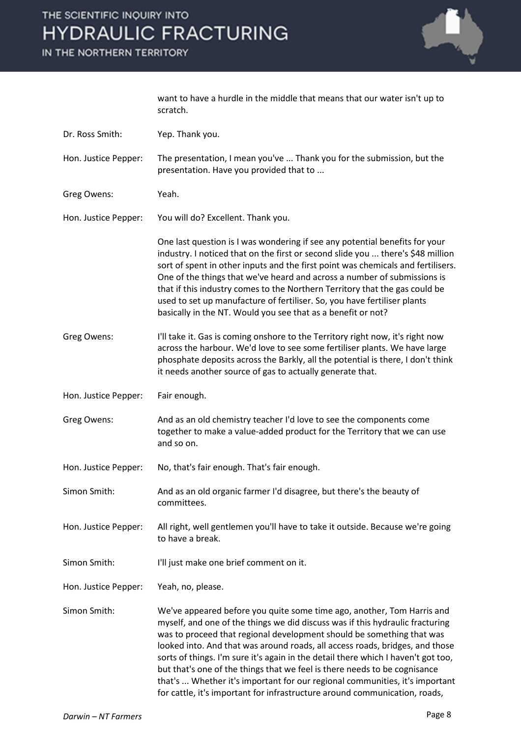# THE SCIENTIFIC INQUIRY INTO **HYDRAULIC FRACTURING**

IN THE NORTHERN TERRITORY



want to have a hurdle in the middle that means that our water isn't up to scratch.

| Dr. Ross Smith:      | Yep. Thank you.                                                                                                                                                                                                                                                                                                                                                                                                                                                                                                                                                   |
|----------------------|-------------------------------------------------------------------------------------------------------------------------------------------------------------------------------------------------------------------------------------------------------------------------------------------------------------------------------------------------------------------------------------------------------------------------------------------------------------------------------------------------------------------------------------------------------------------|
| Hon. Justice Pepper: | The presentation, I mean you've  Thank you for the submission, but the<br>presentation. Have you provided that to                                                                                                                                                                                                                                                                                                                                                                                                                                                 |
| Greg Owens:          | Yeah.                                                                                                                                                                                                                                                                                                                                                                                                                                                                                                                                                             |
| Hon. Justice Pepper: | You will do? Excellent. Thank you.                                                                                                                                                                                                                                                                                                                                                                                                                                                                                                                                |
|                      | One last question is I was wondering if see any potential benefits for your<br>industry. I noticed that on the first or second slide you  there's \$48 million<br>sort of spent in other inputs and the first point was chemicals and fertilisers.<br>One of the things that we've heard and across a number of submissions is<br>that if this industry comes to the Northern Territory that the gas could be<br>used to set up manufacture of fertiliser. So, you have fertiliser plants<br>basically in the NT. Would you see that as a benefit or not?         |
| Greg Owens:          | I'll take it. Gas is coming onshore to the Territory right now, it's right now<br>across the harbour. We'd love to see some fertiliser plants. We have large<br>phosphate deposits across the Barkly, all the potential is there, I don't think<br>it needs another source of gas to actually generate that.                                                                                                                                                                                                                                                      |
| Hon. Justice Pepper: | Fair enough.                                                                                                                                                                                                                                                                                                                                                                                                                                                                                                                                                      |
| Greg Owens:          | And as an old chemistry teacher I'd love to see the components come<br>together to make a value-added product for the Territory that we can use<br>and so on.                                                                                                                                                                                                                                                                                                                                                                                                     |
| Hon. Justice Pepper: | No, that's fair enough. That's fair enough.                                                                                                                                                                                                                                                                                                                                                                                                                                                                                                                       |
| Simon Smith:         | And as an old organic farmer I'd disagree, but there's the beauty of<br>committees.                                                                                                                                                                                                                                                                                                                                                                                                                                                                               |
| Hon. Justice Pepper: | All right, well gentlemen you'll have to take it outside. Because we're going<br>to have a break.                                                                                                                                                                                                                                                                                                                                                                                                                                                                 |
| Simon Smith:         | I'll just make one brief comment on it.                                                                                                                                                                                                                                                                                                                                                                                                                                                                                                                           |
| Hon. Justice Pepper: | Yeah, no, please.                                                                                                                                                                                                                                                                                                                                                                                                                                                                                                                                                 |
| Simon Smith:         | We've appeared before you quite some time ago, another, Tom Harris and<br>myself, and one of the things we did discuss was if this hydraulic fracturing<br>was to proceed that regional development should be something that was<br>looked into. And that was around roads, all access roads, bridges, and those<br>sorts of things. I'm sure it's again in the detail there which I haven't got too,<br>but that's one of the things that we feel is there needs to be cognisance<br>that's  Whether it's important for our regional communities, it's important |

for cattle, it's important for infrastructure around communication, roads,